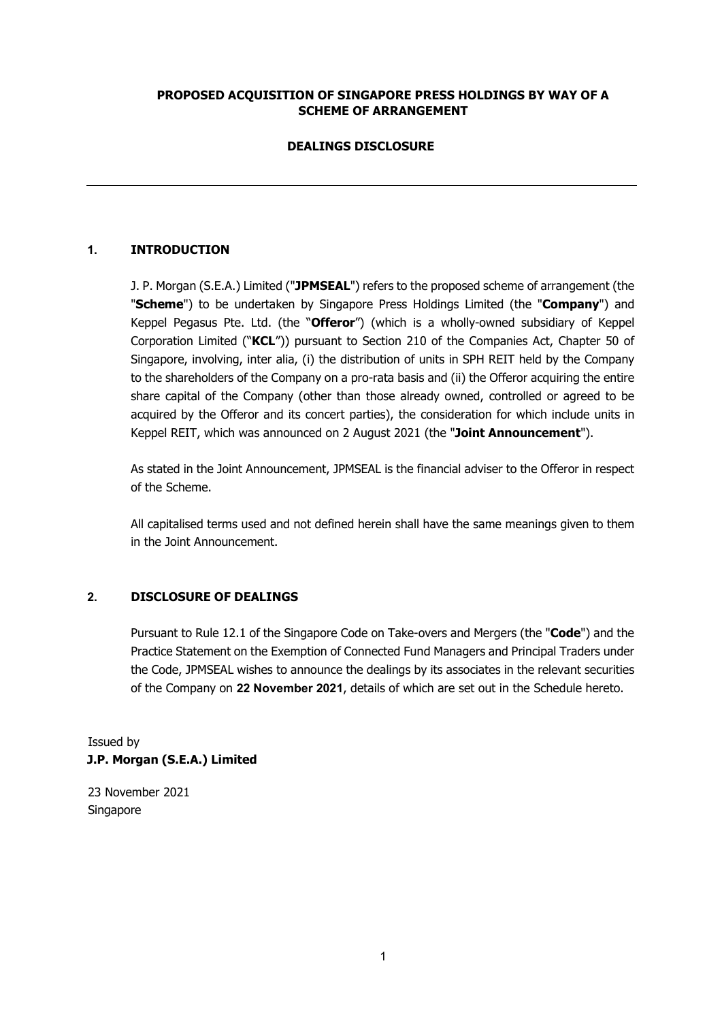# **PROPOSED ACQUISITION OF SINGAPORE PRESS HOLDINGS BY WAY OF A SCHEME OF ARRANGEMENT**

# **DEALINGS DISCLOSURE**

# **1. INTRODUCTION**

J. P. Morgan (S.E.A.) Limited ("**JPMSEAL**") refers to the proposed scheme of arrangement (the "**Scheme**") to be undertaken by Singapore Press Holdings Limited (the "**Company**") and Keppel Pegasus Pte. Ltd. (the "**Offeror**") (which is a wholly-owned subsidiary of Keppel Corporation Limited ("**KCL**")) pursuant to Section 210 of the Companies Act, Chapter 50 of Singapore, involving, inter alia, (i) the distribution of units in SPH REIT held by the Company to the shareholders of the Company on a pro-rata basis and (ii) the Offeror acquiring the entire share capital of the Company (other than those already owned, controlled or agreed to be acquired by the Offeror and its concert parties), the consideration for which include units in Keppel REIT, which was announced on 2 August 2021 (the "**Joint Announcement**").

As stated in the Joint Announcement, JPMSEAL is the financial adviser to the Offeror in respect of the Scheme.

All capitalised terms used and not defined herein shall have the same meanings given to them in the Joint Announcement.

### **2. DISCLOSURE OF DEALINGS**

Pursuant to Rule 12.1 of the Singapore Code on Take-overs and Mergers (the "**Code**") and the Practice Statement on the Exemption of Connected Fund Managers and Principal Traders under the Code, JPMSEAL wishes to announce the dealings by its associates in the relevant securities of the Company on **22 November 2021**, details of which are set out in the Schedule hereto.

Issued by **J.P. Morgan (S.E.A.) Limited** 

23 November 2021 Singapore